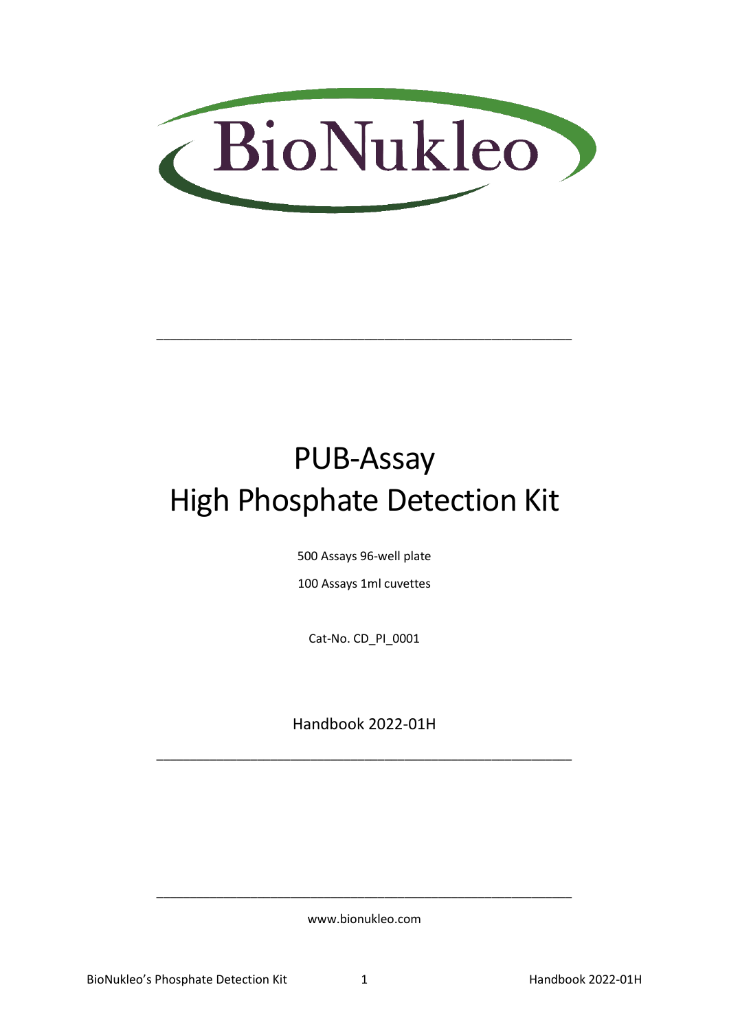

# PUB-Assay High Phosphate Detection Kit

\_\_\_\_\_\_\_\_\_\_\_\_\_\_\_\_\_\_\_\_\_\_\_\_\_\_\_\_\_\_\_\_\_\_\_\_\_\_\_\_\_\_\_\_\_\_\_\_\_\_\_\_\_\_\_\_\_\_\_\_\_\_

500 Assays 96-well plate

100 Assays 1ml cuvettes

Cat-No. CD\_PI\_0001

Handbook 2022-01H

\_\_\_\_\_\_\_\_\_\_\_\_\_\_\_\_\_\_\_\_\_\_\_\_\_\_\_\_\_\_\_\_\_\_\_\_\_\_\_\_\_\_\_\_\_\_\_\_\_\_\_\_\_\_\_\_\_\_\_\_\_\_

www.bionukleo.com

\_\_\_\_\_\_\_\_\_\_\_\_\_\_\_\_\_\_\_\_\_\_\_\_\_\_\_\_\_\_\_\_\_\_\_\_\_\_\_\_\_\_\_\_\_\_\_\_\_\_\_\_\_\_\_\_\_\_\_\_\_\_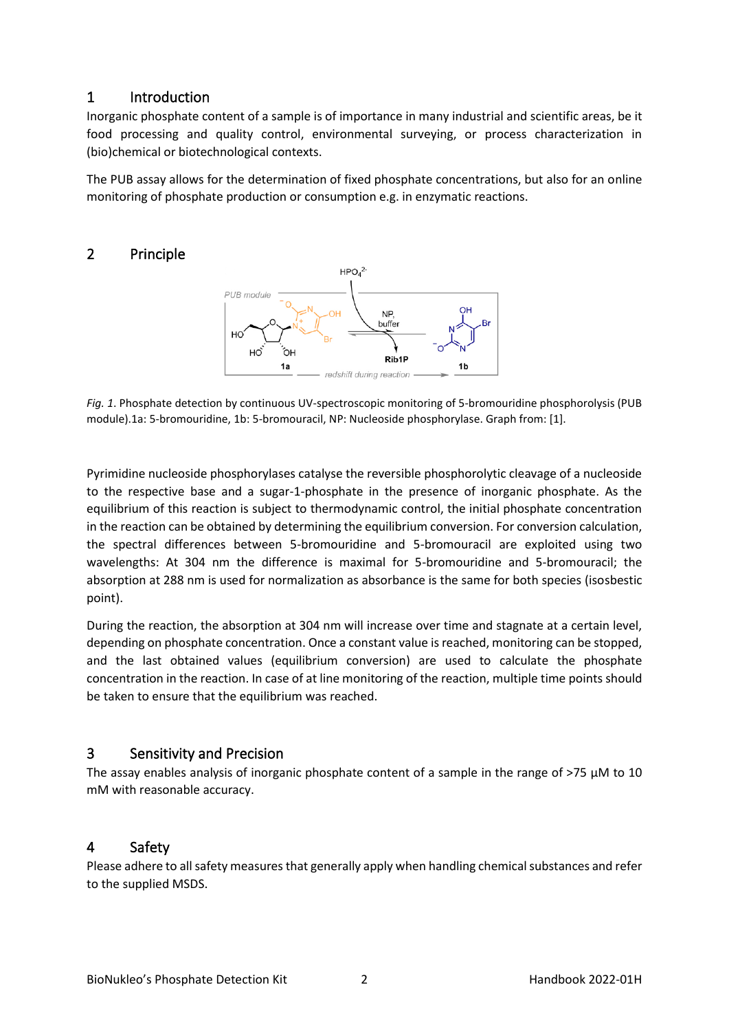# 1 Introduction

Inorganic phosphate content of a sample is of importance in many industrial and scientific areas, be it food processing and quality control, environmental surveying, or process characterization in (bio)chemical or biotechnological contexts.

The PUB assay allows for the determination of fixed phosphate concentrations, but also for an online monitoring of phosphate production or consumption e.g. in enzymatic reactions.

# 2 Principle



*Fig. 1*. Phosphate detection by continuous UV-spectroscopic monitoring of 5-bromouridine phosphorolysis (PUB module).1a: 5-bromouridine, 1b: 5-bromouracil, NP: Nucleoside phosphorylase. Graph from: [1].

Pyrimidine nucleoside phosphorylases catalyse the reversible phosphorolytic cleavage of a nucleoside to the respective base and a sugar-1-phosphate in the presence of inorganic phosphate. As the equilibrium of this reaction is subject to thermodynamic control, the initial phosphate concentration in the reaction can be obtained by determining the equilibrium conversion. For conversion calculation, the spectral differences between 5-bromouridine and 5-bromouracil are exploited using two wavelengths: At 304 nm the difference is maximal for 5-bromouridine and 5-bromouracil; the absorption at 288 nm is used for normalization as absorbance is the same for both species (isosbestic point).

During the reaction, the absorption at 304 nm will increase over time and stagnate at a certain level, depending on phosphate concentration. Once a constant value is reached, monitoring can be stopped, and the last obtained values (equilibrium conversion) are used to calculate the phosphate concentration in the reaction. In case of at line monitoring of the reaction, multiple time points should be taken to ensure that the equilibrium was reached.

# 3 Sensitivity and Precision

The assay enables analysis of inorganic phosphate content of a sample in the range of >75 µM to 10 mM with reasonable accuracy.

# 4 Safety

Please adhere to all safety measures that generally apply when handling chemical substances and refer to the supplied MSDS.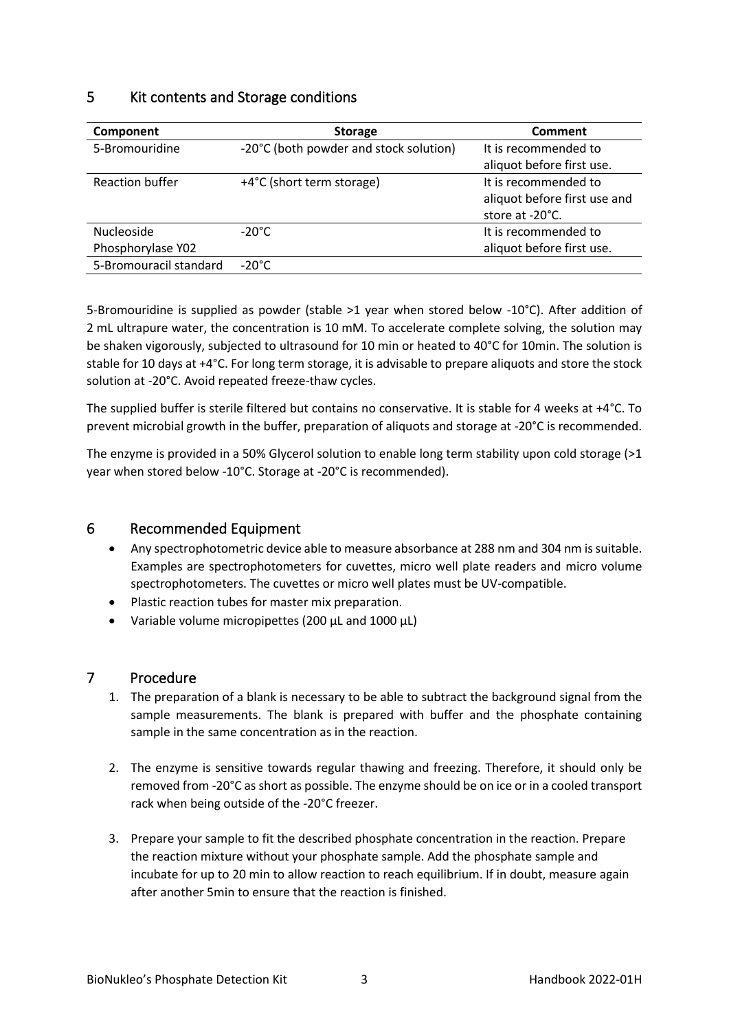# 5 Kit contents and Storage conditions

| Component              | <b>Storage</b>                         | Comment                      |
|------------------------|----------------------------------------|------------------------------|
| 5-Bromouridine         | -20°C (both powder and stock solution) | It is recommended to         |
|                        |                                        | aliquot before first use.    |
| <b>Reaction buffer</b> | +4°C (short term storage)              | It is recommended to         |
|                        |                                        | aliquot before first use and |
|                        |                                        | store at -20°C.              |
| <b>Nucleoside</b>      | $-20^{\circ}$ C                        | It is recommended to         |
| Phosphorylase Y02      |                                        | aliquot before first use.    |
| 5-Bromouracil standard | $-20^{\circ}$ C                        |                              |

5-Bromouridine is supplied as powder (stable >1 year when stored below -10°C). After addition of 2 mL ultrapure water, the concentration is 10 mM. To accelerate complete solving, the solution may be shaken vigorously, subjected to ultrasound for 10 min or heated to 40°C for 10min. The solution is stable for 10 days at +4°C. For long term storage, it is advisable to prepare aliquots and store the stock solution at -20°C. Avoid repeated freeze-thaw cycles.

The supplied buffer is sterile filtered but contains no conservative. It is stable for 4 weeks at +4°C. To prevent microbial growth in the buffer, preparation of aliquots and storage at -20°C is recommended.

The enzyme is provided in a 50% Glycerol solution to enable long term stability upon cold storage  $(>1$ year when stored below -10°C. Storage at -20°C is recommended).

# 6 Recommended Equipment

- Any spectrophotometric device able to measure absorbance at 288 nm and 304 nm is suitable. Examples are spectrophotometers for cuvettes, micro well plate readers and micro volume spectrophotometers. The cuvettes or micro well plates must be UV-compatible.
- Plastic reaction tubes for master mix preparation.
- Variable volume micropipettes (200 µL and 1000 µL)

# 7 Procedure

- 1. The preparation of a blank is necessary to be able to subtract the background signal from the sample measurements. The blank is prepared with buffer and the phosphate containing sample in the same concentration as in the reaction.
- 2. The enzyme is sensitive towards regular thawing and freezing. Therefore, it should only be removed from -20°C as short as possible. The enzyme should be on ice or in a cooled transport rack when being outside of the -20°C freezer.
- 3. Prepare your sample to fit the described phosphate concentration in the reaction. Prepare the reaction mixture without your phosphate sample. Add the phosphate sample and incubate for up to 20 min to allow reaction to reach equilibrium. If in doubt, measure again after another 5min to ensure that the reaction is finished.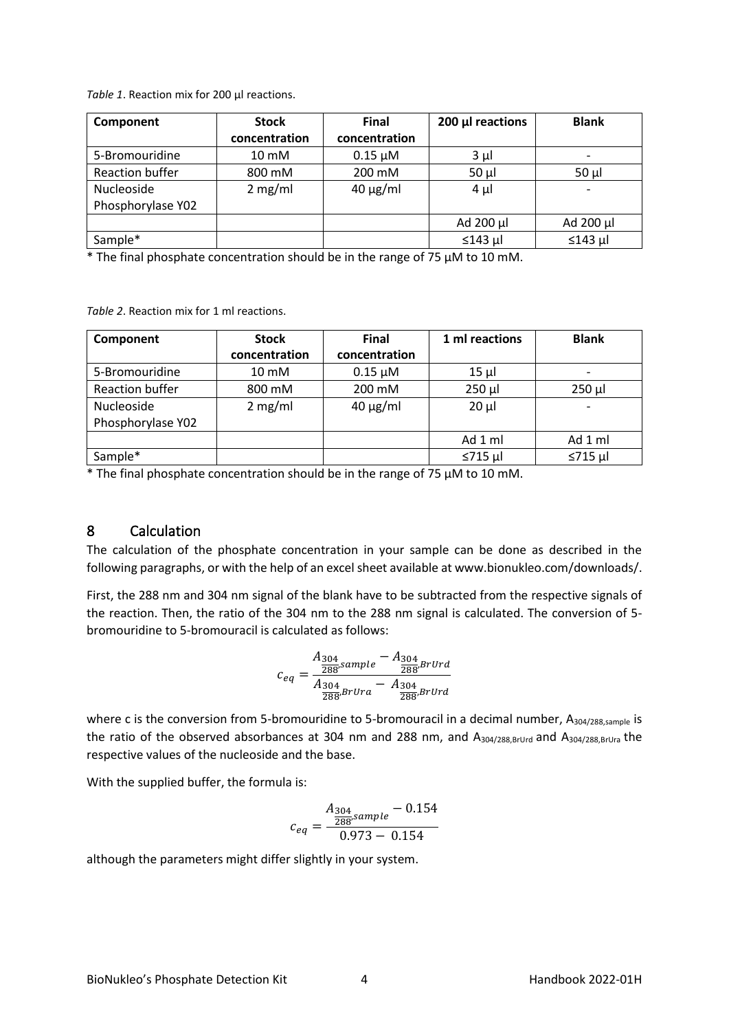*Table 1*. Reaction mix for 200 µl reactions.

| Component              | <b>Stock</b>  | <b>Final</b>  | 200 µl reactions | <b>Blank</b> |
|------------------------|---------------|---------------|------------------|--------------|
|                        | concentration | concentration |                  |              |
| 5-Bromouridine         | 10 mM         | $0.15 \mu M$  | $3 \mu$          |              |
| <b>Reaction buffer</b> | 800 mM        | 200 mM        | $50 \mu$         | $50 \mu$     |
| Nucleoside             | 2 mg/ml       | $40 \mu g/ml$ | $4 \mu$          |              |
| Phosphorylase Y02      |               |               |                  |              |
|                        |               |               | Ad $200 \mu l$   | Ad 200 µl    |
| Sample*                |               |               | $\leq$ 143 µl    | $≤143$ µl    |

\* The final phosphate concentration should be in the range of 75 µM to 10 mM.

*Table 2*. Reaction mix for 1 ml reactions.

| Component         | <b>Stock</b>  | <b>Final</b>  | 1 ml reactions | <b>Blank</b>             |
|-------------------|---------------|---------------|----------------|--------------------------|
|                   | concentration | concentration |                |                          |
| 5-Bromouridine    | 10 mM         | $0.15 \mu M$  | $15 \mu$       | $\overline{\phantom{a}}$ |
| Reaction buffer   | 800 mM        | 200 mM        | $250 \mu$      | $250$ µl                 |
| Nucleoside        | 2 mg/ml       | $40 \mu g/ml$ | $20 \mu$       | $\overline{\phantom{a}}$ |
| Phosphorylase Y02 |               |               |                |                          |
|                   |               |               | Ad 1 ml        | Ad 1 ml                  |
| Sample*           |               |               | $\leq$ 715 µl  | $\leq$ 715 µl            |

\* The final phosphate concentration should be in the range of 75 µM to 10 mM.

#### 8 Calculation

The calculation of the phosphate concentration in your sample can be done as described in the following paragraphs, or with the help of an excel sheet available at www.bionukleo.com/downloads/.

First, the 288 nm and 304 nm signal of the blank have to be subtracted from the respective signals of the reaction. Then, the ratio of the 304 nm to the 288 nm signal is calculated. The conversion of 5 bromouridine to 5-bromouracil is calculated as follows:

$$
c_{eq} = \frac{A_{304}}{\frac{A_{304}}{288} sample} - \frac{A_{304}}{\frac{280}{288} B r U r d}}{\frac{A_{304}}{288} B r U r a} - \frac{A_{304}}{\frac{280}{288} B r U r d}
$$

where c is the conversion from 5-bromouridine to 5-bromouracil in a decimal number, A<sub>304/288,sample</sub> is the ratio of the observed absorbances at 304 nm and 288 nm, and A304/288,BrUrd and A304/288,BrUra the respective values of the nucleoside and the base.

With the supplied buffer, the formula is:

$$
c_{eq}=\frac{A_{304}}{\frac{288}{258} sample} - 0.154}{0.973-0.154}
$$

although the parameters might differ slightly in your system.